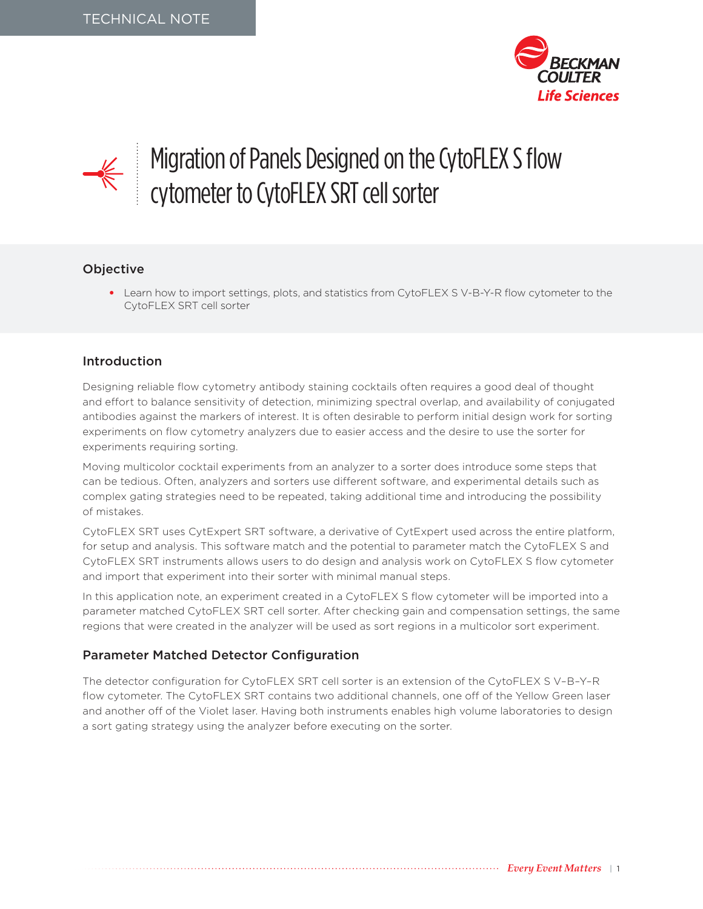



# Migration of Panels Designed on the CytoFLEX S flow cytometer to CytoFLEX SRT cell sorter

## Objective

• Learn how to import settings, plots, and statistics from CytoFLEX SV-B-Y-R flow cytometer to the CytoFLEX SRT cell sorter

### Introduction

Designing reliable flow cytometry antibody staining cocktails often requires a good deal of thought and effort to balance sensitivity of detection, minimizing spectral overlap, and availability of conjugated antibodies against the markers of interest. It is often desirable to perform initial design work for sorting experiments on flow cytometry analyzers due to easier access and the desire to use the sorter for experiments requiring sorting.

Moving multicolor cocktail experiments from an analyzer to a sorter does introduce some steps that can be tedious. Often, analyzers and sorters use different software, and experimental details such as complex gating strategies need to be repeated, taking additional time and introducing the possibility of mistakes.

CytoFLEX SRT uses CytExpert SRT software, a derivative of CytExpert used across the entire platform, for setup and analysis. This software match and the potential to parameter match the CytoFLEX S and CytoFLEX SRT instruments allows users to do design and analysis work on CytoFLEX S flow cytometer and import that experiment into their sorter with minimal manual steps.

In this application note, an experiment created in a CytoFLEX S flow cytometer will be imported into a parameter matched CytoFLEX SRT cell sorter. After checking gain and compensation settings, the same regions that were created in the analyzer will be used as sort regions in a multicolor sort experiment.

### Parameter Matched Detector Configuration

The detector configuration for CytoFLEX SRT cell sorter is an extension of the CytoFLEX S V–B–Y–R flow cytometer. The CytoFLEX SRT contains two additional channels, one off of the Yellow Green laser and another off of the Violet laser. Having both instruments enables high volume laboratories to design a sort gating strategy using the analyzer before executing on the sorter.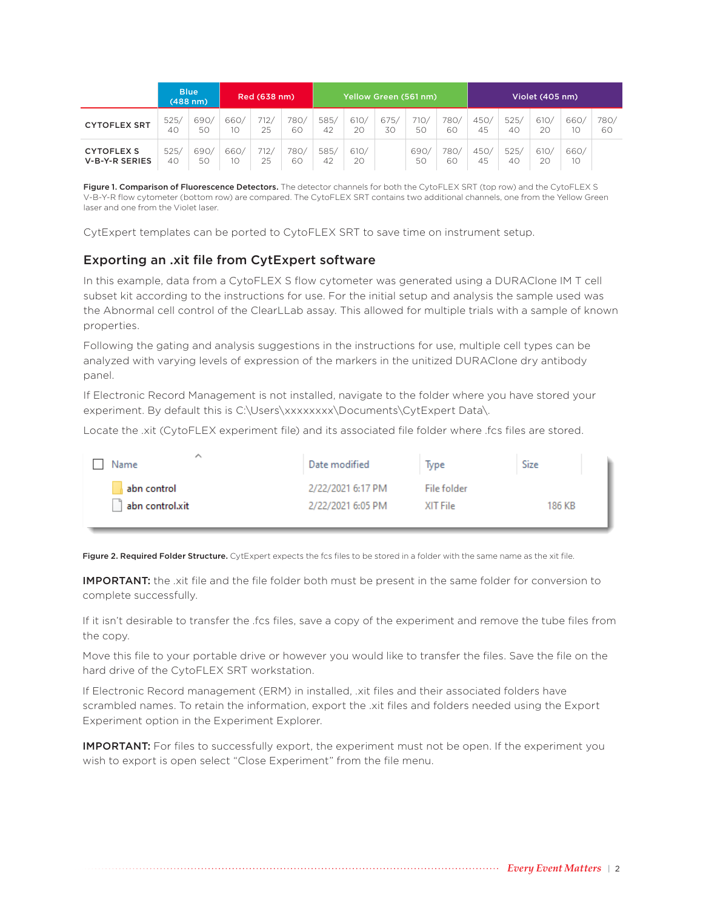|                                            |            | <b>Blue</b><br>$(488$ nm $)$ |            | Red (638 nm) |            |            |            | Yellow Green (561 nm) |            |            |            |            | Violet (405 nm) |            |            |
|--------------------------------------------|------------|------------------------------|------------|--------------|------------|------------|------------|-----------------------|------------|------------|------------|------------|-----------------|------------|------------|
| <b>CYTOFLEX SRT</b>                        | 525/<br>40 | 690/<br>50                   | 660/<br>10 | 712/<br>25   | 780/<br>60 | 585/<br>42 | 610/<br>20 | 675<br>30             | 710/<br>5C | 780/<br>60 | 450/<br>45 | 525/<br>40 | 610/<br>20      | 660/<br>10 | 780/<br>60 |
| <b>CYTOFLEX S</b><br><b>V-B-Y-R SERIES</b> | 525/<br>40 | 690/<br>50                   | 660/<br>10 | 712/<br>25   | 780/<br>60 | 585/<br>42 | 610/<br>20 |                       | 690<br>50  | 780,<br>60 | 450/<br>45 | 525/<br>40 | 610/<br>20      | 660/<br>10 |            |

Figure 1. Comparison of Fluorescence Detectors. The detector channels for both the CytoFLEX SRT (top row) and the CytoFLEX S V-B-Y-R flow cytometer (bottom row) are compared. The CytoFLEX SRT contains two additional channels, one from the Yellow Green laser and one from the Violet laser.

CytExpert templates can be ported to CytoFLEX SRT to save time on instrument setup.

## Exporting an .xit file from CytExpert software

In this example, data from a CytoFLEX S flow cytometer was generated using a DURAClone IM T cell subset kit according to the instructions for use. For the initial setup and analysis the sample used was the Abnormal cell control of the ClearLLab assay. This allowed for multiple trials with a sample of known properties.

Following the gating and analysis suggestions in the instructions for use, multiple cell types can be analyzed with varying levels of expression of the markers in the unitized DURAClone dry antibody panel.

If Electronic Record Management is not installed, navigate to the folder where you have stored your experiment. By default this is C:\Users\xxxxxxxx\Documents\CytExpert Data\.

Locate the .xit (CytoFLEX experiment file) and its associated file folder where .fcs files are stored.

| ∧<br>Name       | Date modified     | Type        | Size   |
|-----------------|-------------------|-------------|--------|
| abn control     | 2/22/2021 6:17 PM | File folder | 186 KB |
| abn control.xit | 2/22/2021 6:05 PM | XIT File    |        |

Figure 2. Required Folder Structure. CytExpert expects the fcs files to be stored in a folder with the same name as the xit file.

IMPORTANT: the .xit file and the file folder both must be present in the same folder for conversion to complete successfully.

If it isn't desirable to transfer the .fcs files, save a copy of the experiment and remove the tube files from the copy.

Move this file to your portable drive or however you would like to transfer the files. Save the file on the hard drive of the CytoFLEX SRT workstation.

If Electronic Record management (ERM) in installed, .xit files and their associated folders have scrambled names. To retain the information, export the .xit files and folders needed using the Export Experiment option in the Experiment Explorer.

**IMPORTANT:** For files to successfully export, the experiment must not be open. If the experiment you wish to export is open select "Close Experiment" from the file menu.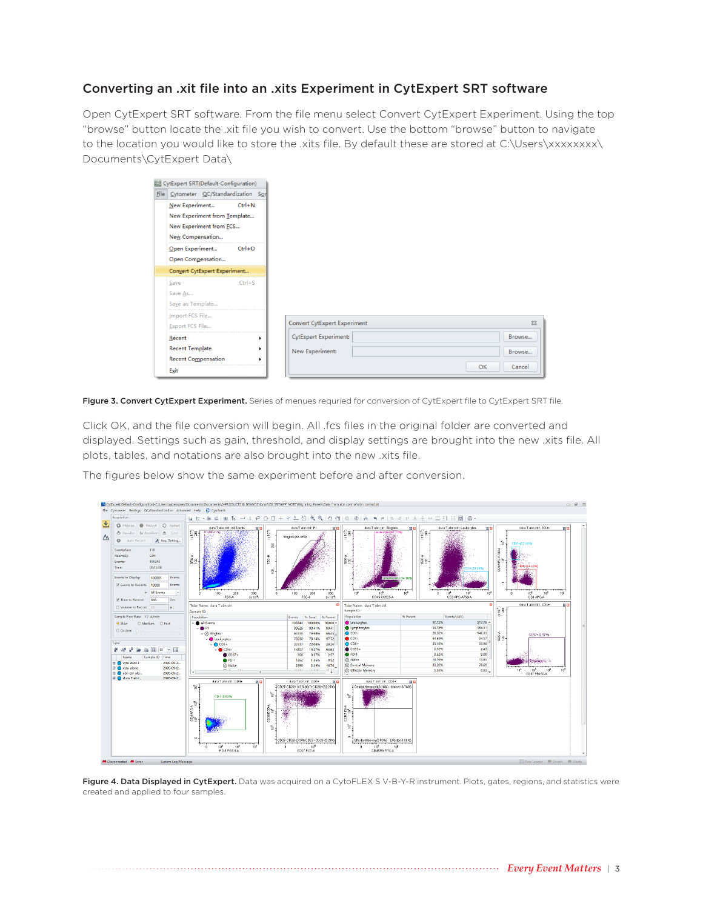## Converting an .xit file into an .xits Experiment in CytExpert SRT software

Open CytExpert SRT software. From the file menu select Convert CytExpert Experiment. Using the top "browse" button locate the .xit file you wish to convert. Use the bottom "browse" button to navigate to the location you would like to store the .xits file. By default these are stored at C:\Users\xxxxxxx\ Documents\CytExpert Data\

| CytExpert SRT(Default-Configuration)  |            |                              |          |
|---------------------------------------|------------|------------------------------|----------|
| File Cytometer QC/Standardization Son |            |                              |          |
| New Experiment                        | $Ctrl + N$ |                              |          |
| New Experiment from Template          |            |                              |          |
| New Experiment from FCS               |            |                              |          |
| New Compensation                      |            |                              |          |
| Open Experiment                       | $Ctrl + O$ |                              |          |
| Open Compensation                     |            |                              |          |
| Convert CytExpert Experiment          |            |                              |          |
| Save                                  | $Ctrl + S$ |                              |          |
| Save As                               |            |                              |          |
| Save as Template                      |            |                              |          |
| Import FCS File                       |            |                              |          |
| Export FCS File                       |            | Convert CytExpert Experiment | $\Sigma$ |
| Recent                                | ٠          | <b>CytExpert Experiment:</b> | Browse   |
|                                       |            | New Experiment:              | Browse   |
| <b>Recent Template</b>                | ٠          |                              |          |
| <b>Recent Compensation</b>            | ٠          |                              |          |

Figure 3. Convert CytExpert Experiment. Series of menues requried for conversion of CytExpert file to CytExpert SRT file.

Click OK, and the file conversion will begin. All .fcs files in the original folder are converted and displayed. Settings such as gain, threshold, and display settings are brought into the new .xits file. All plots, tables, and notations are also brought into the new .xits file.

The figures below show the same experiment before and after conversion.



Figure 4. Data Displayed in CytExpert. Data was acquired on a CytoFLEX SV-B-Y-R instrument. Plots, gates, regions, and statistics were created and applied to four samples.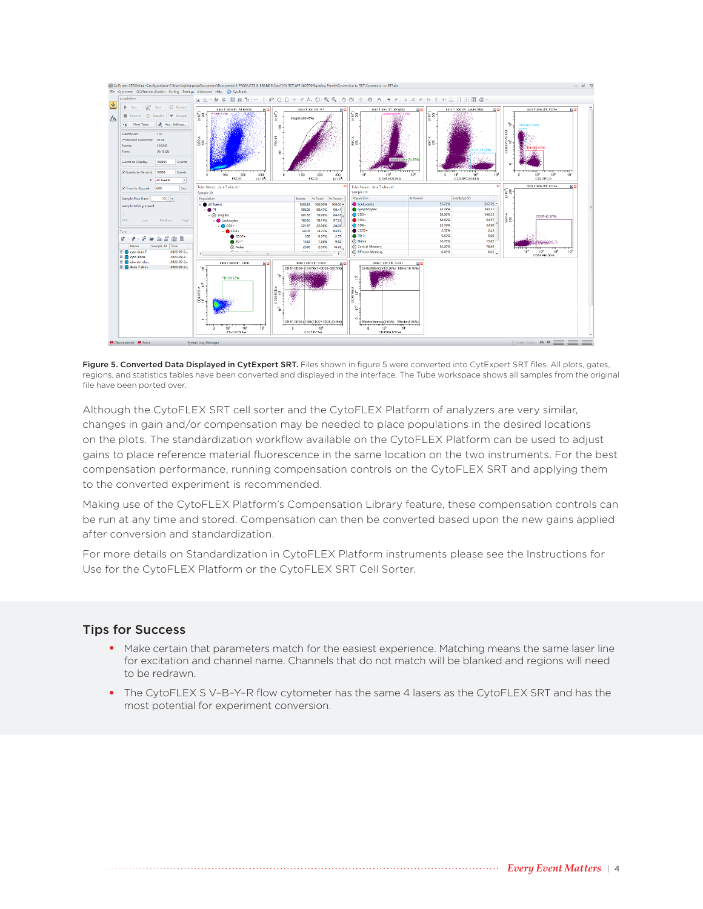

Figure 5. Converted Data Displayed in CytExpert SRT. Files shown in figure 5 were converted into CytExpert SRT files. All plots, gates, regions, and statistics tables have been converted and displayed in the interface. The Tube workspace shows all samples from the original file have been ported over.

Although the CytoFLEX SRT cell sorter and the CytoFLEX Platform of analyzers are very similar, changes in gain and/or compensation may be needed to place populations in the desired locations on the plots. The standardization workflow available on the CytoFLEX Platform can be used to adjust gains to place reference material fluorescence in the same location on the two instruments. For the best compensation performance, running compensation controls on the CytoFLEX SRT and applying them to the converted experiment is recommended.

Making use of the CytoFLEX Platform's Compensation Library feature, these compensation controls can be run at any time and stored. Compensation can then be converted based upon the new gains applied after conversion and standardization.

For more details on Standardization in CytoFLEX Platform instruments please see the Instructions for Use for the CytoFLEX Platform or the CytoFLEX SRT Cell Sorter.

#### Tips for Success

- Make certain that parameters match for the easiest experience. Matching means the same laser line for excitation and channel name. Channels that do not match will be blanked and regions will need to be redrawn.
- The CytoFLEX S V–B–Y–R flow cytometer has the same 4 lasers as the CytoFLEX SRT and has the most potential for experiment conversion.